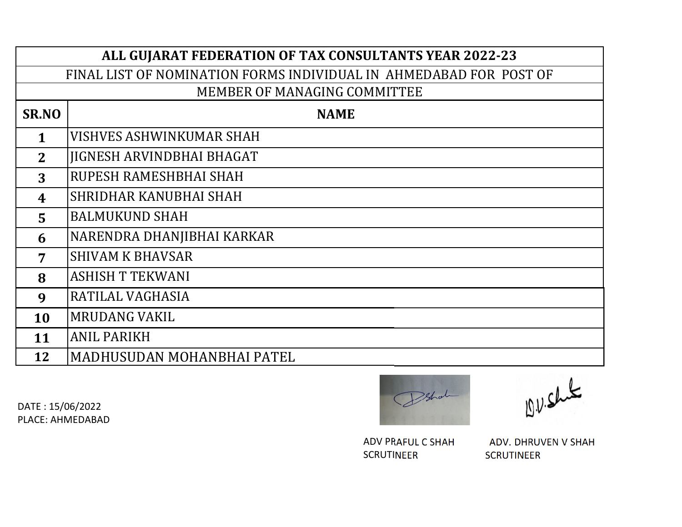| ALL GUJARAT FEDERATION OF TAX CONSULTANTS YEAR 2022-23             |                                  |  |
|--------------------------------------------------------------------|----------------------------------|--|
| FINAL LIST OF NOMINATION FORMS INDIVIDUAL IN AHMEDABAD FOR POST OF |                                  |  |
| <b>MEMBER OF MANAGING COMMITTEE</b>                                |                                  |  |
| <b>SR.NO</b>                                                       | <b>NAME</b>                      |  |
| $\mathbf{1}$                                                       | VISHVES ASHWINKUMAR SHAH         |  |
| 2 <sup>1</sup>                                                     | <b>JIGNESH ARVINDBHAI BHAGAT</b> |  |
| 3                                                                  | RUPESH RAMESHBHAI SHAH           |  |
| 4                                                                  | SHRIDHAR KANUBHAI SHAH           |  |
| 5 <sup>5</sup>                                                     | <b>BALMUKUND SHAH</b>            |  |
| 6                                                                  | NARENDRA DHANJIBHAI KARKAR       |  |
| 7                                                                  | <b>SHIVAM K BHAVSAR</b>          |  |
| 8                                                                  | <b>ASHISH T TEKWANI</b>          |  |
| 9                                                                  | RATILAL VAGHASIA                 |  |
| <b>10</b>                                                          | <b>MRUDANG VAKIL</b>             |  |
| 11                                                                 | <b>ANIL PARIKH</b>               |  |
| 12                                                                 | MADHUSUDAN MOHANBHAI PATEL       |  |



D.V. Shut

SCRUTINEER

ADV PRAFUL C SHAH ADV. DHRUVEN V SHAH<br>SCRUTINEER SCRUTINEER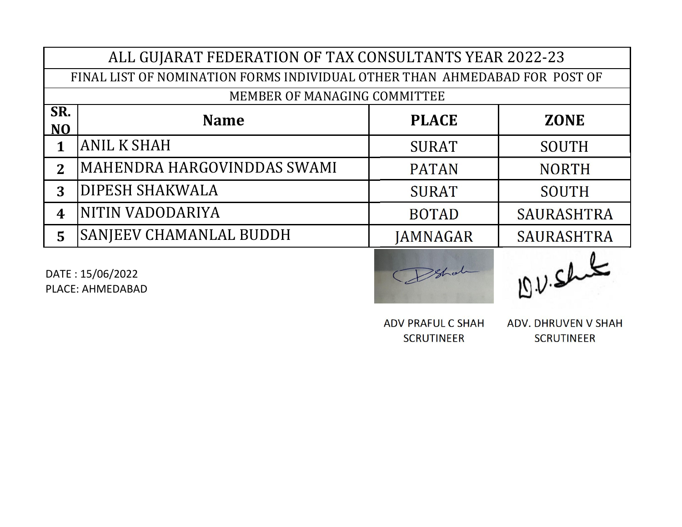| ALL GUJARAT FEDERATION OF TAX CONSULTANTS YEAR 2022-23                     |                                |                 |                   |
|----------------------------------------------------------------------------|--------------------------------|-----------------|-------------------|
| FINAL LIST OF NOMINATION FORMS INDIVIDUAL OTHER THAN AHMEDABAD FOR POST OF |                                |                 |                   |
| MEMBER OF MANAGING COMMITTEE                                               |                                |                 |                   |
| SR.<br>N <sub>O</sub>                                                      | <b>Name</b>                    | <b>PLACE</b>    | <b>ZONE</b>       |
| 1                                                                          | <b>ANIL K SHAH</b>             | <b>SURAT</b>    | <b>SOUTH</b>      |
| $\mathbf{2}$                                                               | MAHENDRA HARGOVINDDAS SWAMI    | <b>PATAN</b>    | <b>NORTH</b>      |
| 3                                                                          | <b>DIPESH SHAKWALA</b>         | <b>SURAT</b>    | <b>SOUTH</b>      |
| 4                                                                          | NITIN VADODARIYA               | <b>BOTAD</b>    | <b>SAURASHTRA</b> |
| 5                                                                          | <b>SANJEEV CHAMANLAL BUDDH</b> | <b>JAMNAGAR</b> | <b>SAURASHTRA</b> |
|                                                                            |                                |                 |                   |



ADV PRAFUL C SHAH ADV. DHRUVEN V SHAH SCRUTINEER SCRUTINEER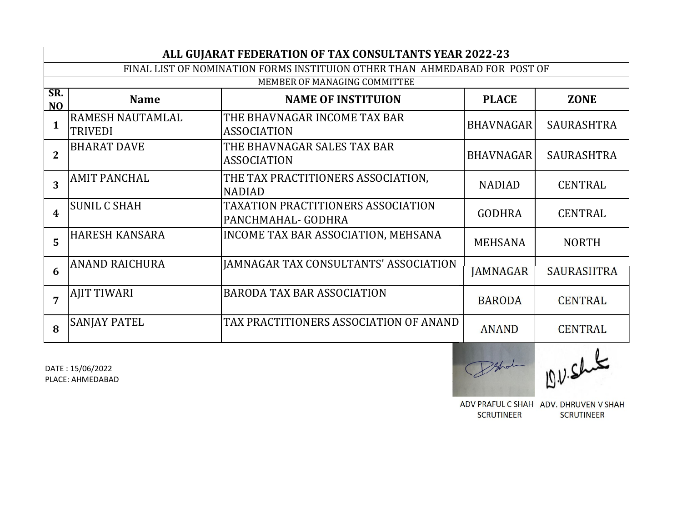|                       | ALL GUJARAT FEDERATION OF TAX CONSULTANTS YEAR 2022-23                     |                                                          |                  |                   |
|-----------------------|----------------------------------------------------------------------------|----------------------------------------------------------|------------------|-------------------|
|                       | FINAL LIST OF NOMINATION FORMS INSTITUION OTHER THAN AHMEDABAD FOR POST OF |                                                          |                  |                   |
|                       | MEMBER OF MANAGING COMMITTEE                                               |                                                          |                  |                   |
| SR.<br>N <sub>O</sub> | <b>Name</b>                                                                | <b>NAME OF INSTITUION</b>                                | <b>PLACE</b>     | <b>ZONE</b>       |
| $\mathbf{1}$          | <b>RAMESH NAUTAMLAL</b><br><b>TRIVEDI</b>                                  | THE BHAVNAGAR INCOME TAX BAR<br><b>ASSOCIATION</b>       | <b>BHAVNAGAR</b> | <b>SAURASHTRA</b> |
| $\overline{2}$        | <b>BHARAT DAVE</b>                                                         | THE BHAVNAGAR SALES TAX BAR<br><b>ASSOCIATION</b>        | <b>BHAVNAGAR</b> | SAURASHTRA        |
| 3                     | <b>AMIT PANCHAL</b>                                                        | THE TAX PRACTITIONERS ASSOCIATION,<br><b>NADIAD</b>      | <b>NADIAD</b>    | <b>CENTRAL</b>    |
| 4                     | <b>SUNIL C SHAH</b>                                                        | TAXATION PRACTITIONERS ASSOCIATION<br>PANCHMAHAL- GODHRA | <b>GODHRA</b>    | <b>CENTRAL</b>    |
| 5                     | <b>HARESH KANSARA</b>                                                      | INCOME TAX BAR ASSOCIATION, MEHSANA                      | <b>MEHSANA</b>   | <b>NORTH</b>      |
| 6                     | <b>ANAND RAICHURA</b>                                                      | <b>JAMNAGAR TAX CONSULTANTS' ASSOCIATION</b>             | <b>JAMNAGAR</b>  | <b>SAURASHTRA</b> |
| $\overline{7}$        | <b>AJIT TIWARI</b>                                                         | <b>BARODA TAX BAR ASSOCIATION</b>                        | <b>BARODA</b>    | <b>CENTRAL</b>    |
| 8                     | <b>SANJAY PATEL</b>                                                        | TAX PRACTITIONERS ASSOCIATION OF ANAND                   | <b>ANAND</b>     | <b>CENTRAL</b>    |
|                       |                                                                            |                                                          |                  |                   |

Schol D.V.Shit

ADV PRAFUL C SHAH ADV. DHRUVEN V SHAH SCRUTINEER SCRUTINEER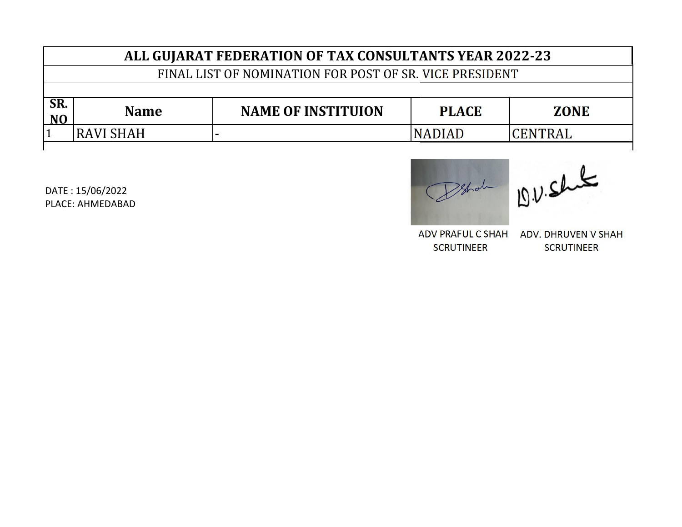| ALL GUIARAT FEDERATION OF TAX CONSULTANTS YEAR 2022-23 |                                                         |                           |               |             |
|--------------------------------------------------------|---------------------------------------------------------|---------------------------|---------------|-------------|
|                                                        | FINAL LIST OF NOMINATION FOR POST OF SR. VICE PRESIDENT |                           |               |             |
|                                                        |                                                         |                           |               |             |
| SR.<br>N <sub>O</sub>                                  | <b>Name</b>                                             | <b>NAME OF INSTITUION</b> | <b>PLACE</b>  | <b>ZONE</b> |
|                                                        |                                                         |                           |               |             |
|                                                        | IRAVI SHAH                                              |                           | <b>NADIAD</b> | CENTRAL     |

Datable 191. shake

ADV. DHRUVEN V SHAH SCRUTINEER SCRUTINEER ADV PRAFUL C SHAH